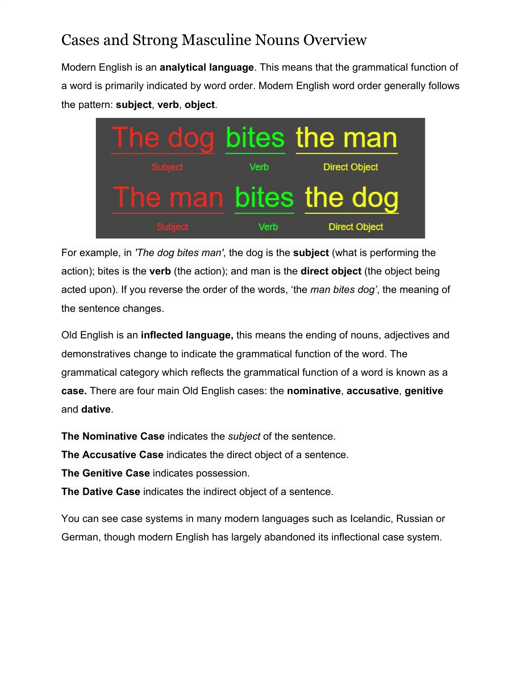## Cases and Strong Masculine Nouns Overview

Modern English is an **analytical language**. This means that the grammatical function of a word is primarily indicated by word order. Modern English word order generally follows the pattern: **subject**, **verb**, **object**.



For example, in *'The dog bites man'*, the dog is the **subject** (what is performing the action); bites is the **verb** (the action); and man is the **direct object** (the object being acted upon). If you reverse the order of the words, 'the *man bites dog'*, the meaning of the sentence changes.

Old English is an **inflected language,** this means the ending of nouns, adjectives and demonstratives change to indicate the grammatical function of the word. The grammatical category which reflects the grammatical function of a word is known as a **case.** There are four main Old English cases: the **nominative**, **accusative**, **genitive** and **dative**.

**The Nominative Case** indicates the *subject* of the sentence.

**The Accusative Case** indicates the direct object of a sentence.

**The Genitive Case** indicates possession.

**The Dative Case** indicates the indirect object of a sentence.

You can see case systems in many modern languages such as Icelandic, Russian or German, though modern English has largely abandoned its inflectional case system.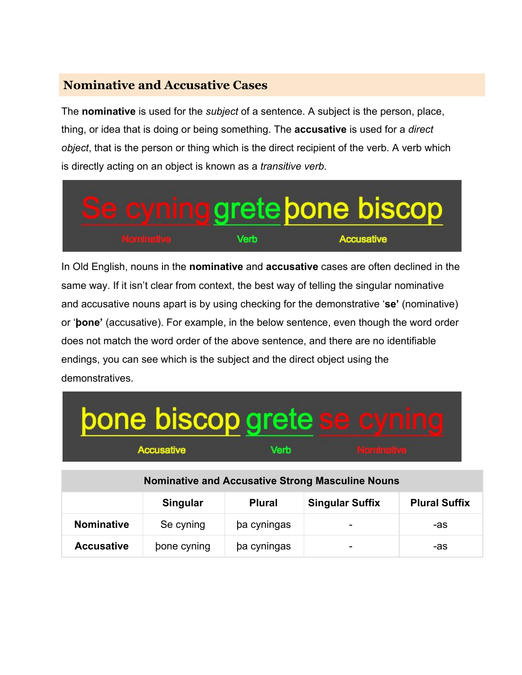#### **Nominative and Accusative Cases**

The **nominative** is used for the *subject* of a sentence. A subject is the person, place, thing, or idea that is doing or being something. The **accusative** is used for a *direct object*, that is the person or thing which is the direct recipient of the verb. A verb which is directly acting on an object is known as a *transitive verb*.



In Old English, nouns in the **nominative** and **accusative** cases are often declined in the same way. If it isn't clear from context, the best way of telling the singular nominative and accusative nouns apart is by using checking for the demonstrative '**se'** (nominative) or '**þone'** (accusative). For example, in the below sentence, even though the word order does not match the word order of the above sentence, and there are no identifiable endings, you can see which is the subject and the direct object using the demonstratives.

| bone biscop grete se | I |
|----------------------|---|
| <b>Accusative</b>    |   |

| <b>Nominative and Accusative Strong Masculine Nouns</b> |             |               |                          |                      |  |
|---------------------------------------------------------|-------------|---------------|--------------------------|----------------------|--|
|                                                         | Singular    | <b>Plural</b> | <b>Singular Suffix</b>   | <b>Plural Suffix</b> |  |
| <b>Nominative</b>                                       | Se cyning   | ba cyningas   | $\overline{\phantom{0}}$ | -as                  |  |
| <b>Accusative</b>                                       | bone cyning | ba cyningas   | $\overline{\phantom{0}}$ | -as                  |  |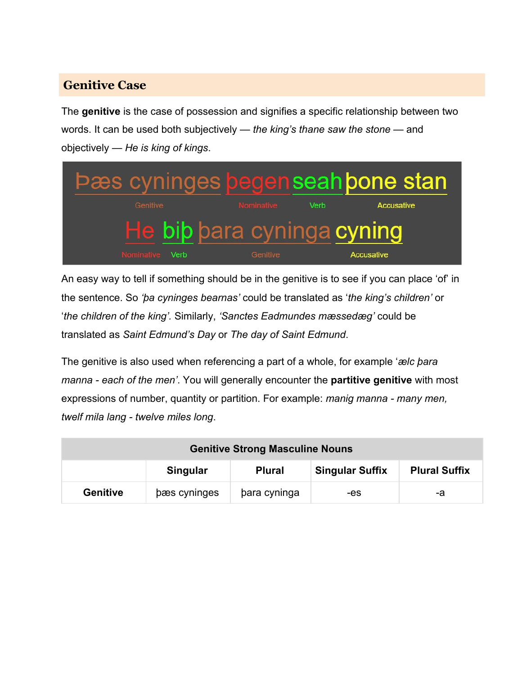#### **Genitive Case**

The **genitive** is the case of possession and signifies a specific relationship between two words. It can be used both subjectively — *the king's thane saw the stone* — and objectively — *He is king of kings*.



An easy way to tell if something should be in the genitive is to see if you can place 'of' in the sentence. So *'þa cyninges bearnas'* could be translated as '*the king's children'* or '*the children of the king'.* Similarly, *'Sanctes Eadmundes mæssedæg'* could be translated as *Saint Edmund's Day* or *The day of Saint Edmund*.

The genitive is also used when referencing a part of a whole, for example '*ælc þara manna - each of the men'*. You will generally encounter the **partitive genitive** with most expressions of number, quantity or partition. For example: *manig manna - many men, twelf mila lang - twelve miles long*.

| <b>Genitive Strong Masculine Nouns</b> |                                                                             |              |     |    |
|----------------------------------------|-----------------------------------------------------------------------------|--------------|-----|----|
|                                        | <b>Singular Suffix</b><br><b>Plural Suffix</b><br>Singular<br><b>Plural</b> |              |     |    |
| <b>Genitive</b>                        | bæs cyninges                                                                | bara cyninga | -es | -a |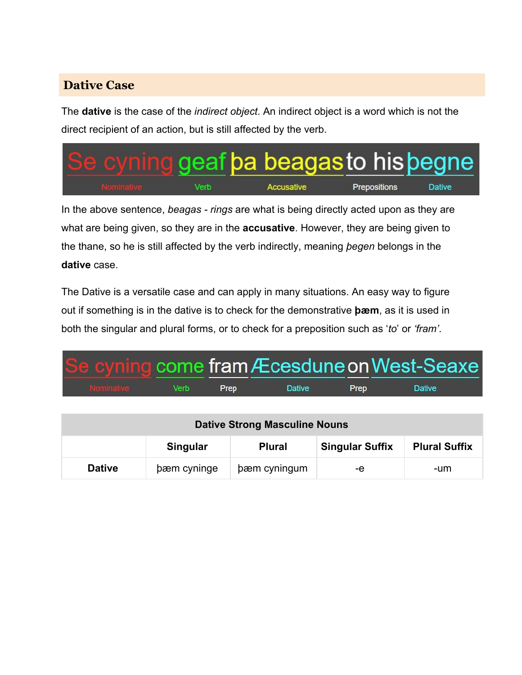### **Dative Case**

The **dative** is the case of the *indirect object*. An indirect object is a word which is not the direct recipient of an action, but is still affected by the verb.



In the above sentence, *beagas - rings* are what is being directly acted upon as they are what are being given, so they are in the **accusative**. However, they are being given to the thane, so he is still affected by the verb indirectly, meaning *þegen* belongs in the **dative** case.

The Dative is a versatile case and can apply in many situations. An easy way to figure out if something is in the dative is to check for the demonstrative **þæm**, as it is used in both the singular and plural forms, or to check for a preposition such as '*to*' or *'fram'*.

| Se cyning come fram Æcesdune on West-Seaxe |                                 |      |               |      |               |  |
|--------------------------------------------|---------------------------------|------|---------------|------|---------------|--|
| <b>Nominative</b>                          | <b>Solution Section Section</b> | Prep | <b>Dative</b> | Prep | <b>Dative</b> |  |

| <b>Dative Strong Masculine Nouns</b> |                                                                             |              |    |     |
|--------------------------------------|-----------------------------------------------------------------------------|--------------|----|-----|
|                                      | <b>Singular Suffix</b><br><b>Plural Suffix</b><br>Singular<br><b>Plural</b> |              |    |     |
| <b>Dative</b>                        | bæm cyninge                                                                 | bæm cyningum | -е | -um |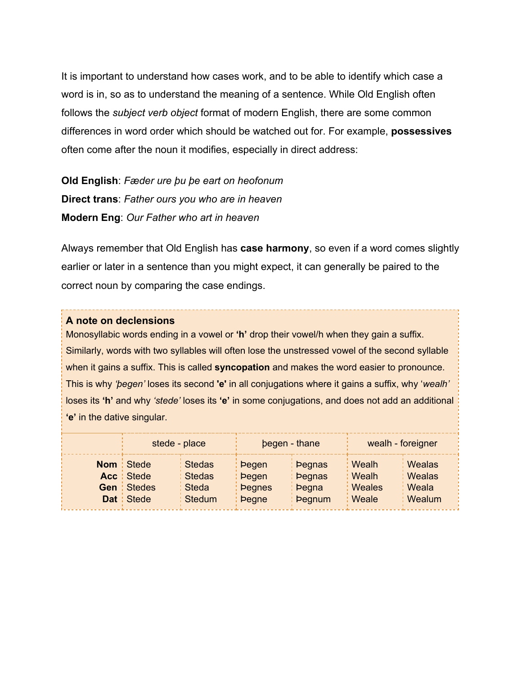It is important to understand how cases work, and to be able to identify which case a word is in, so as to understand the meaning of a sentence. While Old English often follows the *subject verb object* format of modern English, there are some common differences in word order which should be watched out for. For example, **possessives** often come after the noun it modifies, especially in direct address:

**Old English**: *Fæder ure þu þe eart on heofonum* **Direct trans**: *Father ours you who are in heaven* **Modern Eng**: *Our Father who art in heaven*

Always remember that Old English has **case harmony**, so even if a word comes slightly earlier or later in a sentence than you might expect, it can generally be paired to the correct noun by comparing the case endings.

#### **A note on declensions**

Monosyllabic words ending in a vowel or **'h'** drop their vowel/h when they gain a suffix. Similarly, words with two syllables will often lose the unstressed vowel of the second syllable when it gains a suffix. This is called **syncopation** and makes the word easier to pronounce. This is why *'þegen'* loses its second **'e'** in all conjugations where it gains a suffix, why '*wealh'* loses its **'h'** and why *'stede'* loses its **'e'** in some conjugations, and does not add an additional **'e'** in the dative singular.

| stede - place     |                    | begen - thane |               | wealh - foreigner   |          |
|-------------------|--------------------|---------------|---------------|---------------------|----------|
| <b>Nom</b> Stede  | <b>Stedas</b>      | <b>Pegen</b>  | <b>Pegnas</b> | : Wealh             | Wealas   |
| Acc   Stede       | Stedas             | : Þegen       | <b>Pegnas</b> | $\frac{1}{2}$ Wealh | : Wealas |
| <b>Gen</b> Stedes | Steda <sup>l</sup> | : begnes      | <b>begna</b>  | : Weales            | : Weala  |
| <b>Dat</b> Stede  | <b>Stedum</b>      | <b>Degne</b>  | <b>Pegnum</b> | : Weale             | : Wealum |